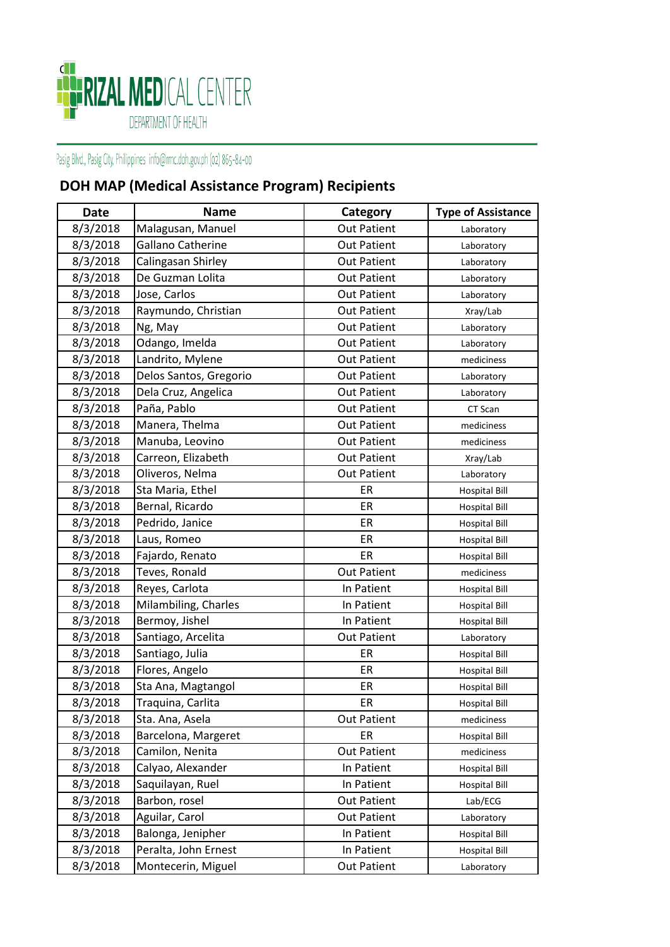

## Pasig Blvd., Pasig City, Philippines info@rmc.doh.gov.ph (02) 865-84-00

## **DOH MAP (Medical Assistance Program) Recipients**

| Date     | <b>Name</b>            | Category           | <b>Type of Assistance</b> |
|----------|------------------------|--------------------|---------------------------|
| 8/3/2018 | Malagusan, Manuel      | <b>Out Patient</b> | Laboratory                |
| 8/3/2018 | Gallano Catherine      | <b>Out Patient</b> | Laboratory                |
| 8/3/2018 | Calingasan Shirley     | <b>Out Patient</b> | Laboratory                |
| 8/3/2018 | De Guzman Lolita       | <b>Out Patient</b> | Laboratory                |
| 8/3/2018 | Jose, Carlos           | <b>Out Patient</b> | Laboratory                |
| 8/3/2018 | Raymundo, Christian    | <b>Out Patient</b> | Xray/Lab                  |
| 8/3/2018 | Ng, May                | <b>Out Patient</b> | Laboratory                |
| 8/3/2018 | Odango, Imelda         | <b>Out Patient</b> | Laboratory                |
| 8/3/2018 | Landrito, Mylene       | <b>Out Patient</b> | mediciness                |
| 8/3/2018 | Delos Santos, Gregorio | <b>Out Patient</b> | Laboratory                |
| 8/3/2018 | Dela Cruz, Angelica    | <b>Out Patient</b> | Laboratory                |
| 8/3/2018 | Paña, Pablo            | <b>Out Patient</b> | CT Scan                   |
| 8/3/2018 | Manera, Thelma         | <b>Out Patient</b> | mediciness                |
| 8/3/2018 | Manuba, Leovino        | <b>Out Patient</b> | mediciness                |
| 8/3/2018 | Carreon, Elizabeth     | <b>Out Patient</b> | Xray/Lab                  |
| 8/3/2018 | Oliveros, Nelma        | <b>Out Patient</b> | Laboratory                |
| 8/3/2018 | Sta Maria, Ethel       | ER                 | <b>Hospital Bill</b>      |
| 8/3/2018 | Bernal, Ricardo        | ER                 | <b>Hospital Bill</b>      |
| 8/3/2018 | Pedrido, Janice        | ER                 | <b>Hospital Bill</b>      |
| 8/3/2018 | Laus, Romeo            | ER                 | <b>Hospital Bill</b>      |
| 8/3/2018 | Fajardo, Renato        | ER                 | <b>Hospital Bill</b>      |
| 8/3/2018 | Teves, Ronald          | <b>Out Patient</b> | mediciness                |
| 8/3/2018 | Reyes, Carlota         | In Patient         | <b>Hospital Bill</b>      |
| 8/3/2018 | Milambiling, Charles   | In Patient         | <b>Hospital Bill</b>      |
| 8/3/2018 | Bermoy, Jishel         | In Patient         | <b>Hospital Bill</b>      |
| 8/3/2018 | Santiago, Arcelita     | <b>Out Patient</b> | Laboratory                |
| 8/3/2018 | Santiago, Julia        | ER                 | <b>Hospital Bill</b>      |
| 8/3/2018 | Flores, Angelo         | ER                 | <b>Hospital Bill</b>      |
| 8/3/2018 | Sta Ana, Magtangol     | ER                 | <b>Hospital Bill</b>      |
| 8/3/2018 | Traquina, Carlita      | ER                 | <b>Hospital Bill</b>      |
| 8/3/2018 | Sta. Ana, Asela        | <b>Out Patient</b> | mediciness                |
| 8/3/2018 | Barcelona, Margeret    | ER                 | <b>Hospital Bill</b>      |
| 8/3/2018 | Camilon, Nenita        | <b>Out Patient</b> | mediciness                |
| 8/3/2018 | Calyao, Alexander      | In Patient         | <b>Hospital Bill</b>      |
| 8/3/2018 | Saquilayan, Ruel       | In Patient         | <b>Hospital Bill</b>      |
| 8/3/2018 | Barbon, rosel          | <b>Out Patient</b> | Lab/ECG                   |
| 8/3/2018 | Aguilar, Carol         | <b>Out Patient</b> | Laboratory                |
| 8/3/2018 | Balonga, Jenipher      | In Patient         | <b>Hospital Bill</b>      |
| 8/3/2018 | Peralta, John Ernest   | In Patient         | <b>Hospital Bill</b>      |
| 8/3/2018 | Montecerin, Miguel     | <b>Out Patient</b> | Laboratory                |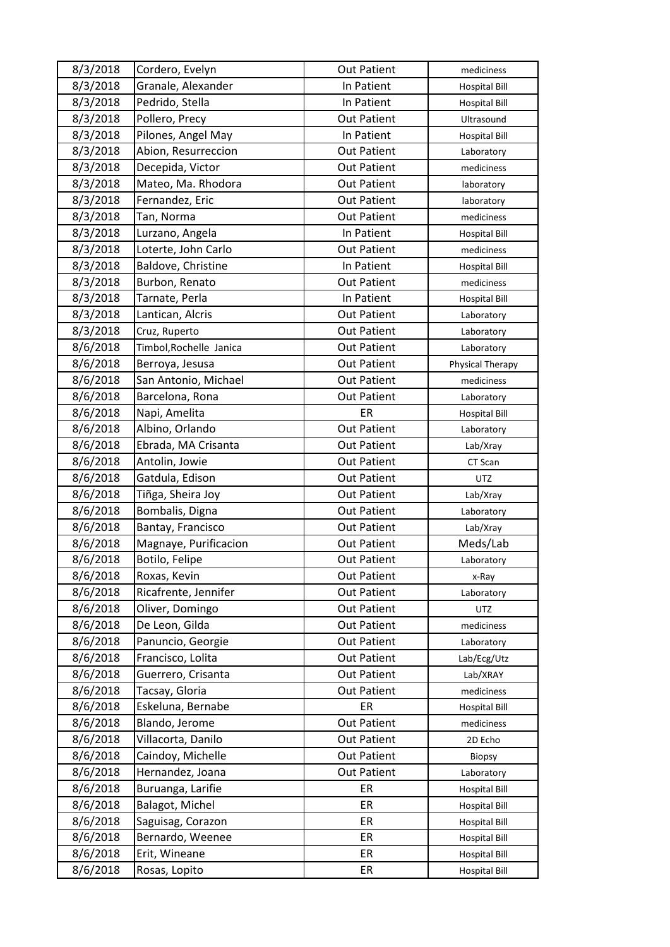| 8/3/2018 | Cordero, Evelyn         | <b>Out Patient</b> | mediciness           |
|----------|-------------------------|--------------------|----------------------|
| 8/3/2018 | Granale, Alexander      | In Patient         | <b>Hospital Bill</b> |
| 8/3/2018 | Pedrido, Stella         | In Patient         | <b>Hospital Bill</b> |
| 8/3/2018 | Pollero, Precy          | <b>Out Patient</b> | Ultrasound           |
| 8/3/2018 | Pilones, Angel May      | In Patient         | <b>Hospital Bill</b> |
| 8/3/2018 | Abion, Resurreccion     | <b>Out Patient</b> | Laboratory           |
| 8/3/2018 | Decepida, Victor        | <b>Out Patient</b> | mediciness           |
| 8/3/2018 | Mateo, Ma. Rhodora      | <b>Out Patient</b> | laboratory           |
| 8/3/2018 | Fernandez, Eric         | <b>Out Patient</b> | laboratory           |
| 8/3/2018 | Tan, Norma              | <b>Out Patient</b> | mediciness           |
| 8/3/2018 | Lurzano, Angela         | In Patient         | <b>Hospital Bill</b> |
| 8/3/2018 | Loterte, John Carlo     | <b>Out Patient</b> | mediciness           |
| 8/3/2018 | Baldove, Christine      | In Patient         | <b>Hospital Bill</b> |
| 8/3/2018 | Burbon, Renato          | <b>Out Patient</b> | mediciness           |
| 8/3/2018 | Tarnate, Perla          | In Patient         | <b>Hospital Bill</b> |
| 8/3/2018 | Lantican, Alcris        | <b>Out Patient</b> | Laboratory           |
| 8/3/2018 | Cruz, Ruperto           | <b>Out Patient</b> | Laboratory           |
| 8/6/2018 | Timbol, Rochelle Janica | <b>Out Patient</b> | Laboratory           |
| 8/6/2018 | Berroya, Jesusa         | <b>Out Patient</b> | Physical Therapy     |
| 8/6/2018 | San Antonio, Michael    | <b>Out Patient</b> | mediciness           |
| 8/6/2018 | Barcelona, Rona         | <b>Out Patient</b> | Laboratory           |
| 8/6/2018 | Napi, Amelita           | ER                 | <b>Hospital Bill</b> |
| 8/6/2018 | Albino, Orlando         | <b>Out Patient</b> | Laboratory           |
| 8/6/2018 | Ebrada, MA Crisanta     | <b>Out Patient</b> | Lab/Xray             |
| 8/6/2018 | Antolin, Jowie          | <b>Out Patient</b> | CT Scan              |
| 8/6/2018 | Gatdula, Edison         | <b>Out Patient</b> | <b>UTZ</b>           |
| 8/6/2018 | Tiñga, Sheira Joy       | <b>Out Patient</b> | Lab/Xray             |
| 8/6/2018 | Bombalis, Digna         | <b>Out Patient</b> | Laboratory           |
| 8/6/2018 | Bantay, Francisco       | <b>Out Patient</b> | Lab/Xray             |
| 8/6/2018 | Magnaye, Purificacion   | <b>Out Patient</b> | Meds/Lab             |
| 8/6/2018 | Botilo, Felipe          | <b>Out Patient</b> | Laboratory           |
| 8/6/2018 | Roxas, Kevin            | <b>Out Patient</b> | x-Ray                |
| 8/6/2018 | Ricafrente, Jennifer    | <b>Out Patient</b> | Laboratory           |
| 8/6/2018 | Oliver, Domingo         | <b>Out Patient</b> | <b>UTZ</b>           |
| 8/6/2018 | De Leon, Gilda          | <b>Out Patient</b> | mediciness           |
| 8/6/2018 | Panuncio, Georgie       | <b>Out Patient</b> | Laboratory           |
| 8/6/2018 | Francisco, Lolita       | <b>Out Patient</b> | Lab/Ecg/Utz          |
| 8/6/2018 | Guerrero, Crisanta      | <b>Out Patient</b> | Lab/XRAY             |
| 8/6/2018 | Tacsay, Gloria          | <b>Out Patient</b> | mediciness           |
| 8/6/2018 | Eskeluna, Bernabe       | ER                 | <b>Hospital Bill</b> |
| 8/6/2018 | Blando, Jerome          | <b>Out Patient</b> | mediciness           |
| 8/6/2018 | Villacorta, Danilo      | <b>Out Patient</b> | 2D Echo              |
| 8/6/2018 | Caindoy, Michelle       | <b>Out Patient</b> | Biopsy               |
| 8/6/2018 | Hernandez, Joana        | <b>Out Patient</b> | Laboratory           |
| 8/6/2018 | Buruanga, Larifie       | ER                 | <b>Hospital Bill</b> |
| 8/6/2018 | Balagot, Michel         | ER                 | <b>Hospital Bill</b> |
| 8/6/2018 | Saguisag, Corazon       | ER                 | <b>Hospital Bill</b> |
| 8/6/2018 | Bernardo, Weenee        | ER                 | <b>Hospital Bill</b> |
| 8/6/2018 | Erit, Wineane           | ER                 | <b>Hospital Bill</b> |
| 8/6/2018 | Rosas, Lopito           | ER                 | <b>Hospital Bill</b> |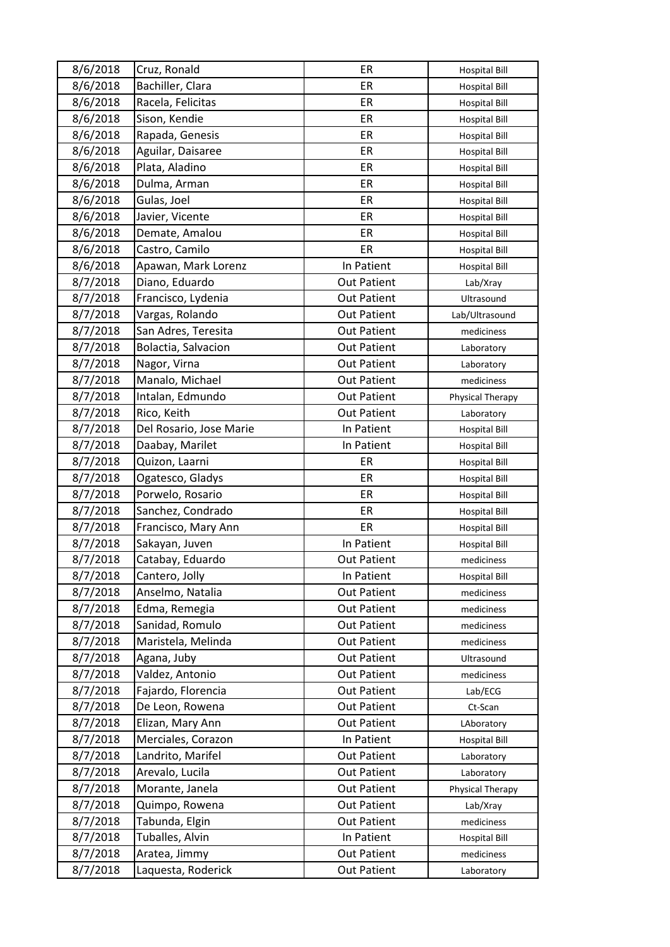| 8/6/2018 | Cruz, Ronald            | ER                 | <b>Hospital Bill</b> |
|----------|-------------------------|--------------------|----------------------|
| 8/6/2018 | Bachiller, Clara        | ER                 | <b>Hospital Bill</b> |
| 8/6/2018 | Racela, Felicitas       | ER                 | <b>Hospital Bill</b> |
| 8/6/2018 | Sison, Kendie           | ER                 | <b>Hospital Bill</b> |
| 8/6/2018 | Rapada, Genesis         | ER                 | <b>Hospital Bill</b> |
| 8/6/2018 | Aguilar, Daisaree       | ER                 | <b>Hospital Bill</b> |
| 8/6/2018 | Plata, Aladino          | ER                 | <b>Hospital Bill</b> |
| 8/6/2018 | Dulma, Arman            | ER                 | <b>Hospital Bill</b> |
| 8/6/2018 | Gulas, Joel             | ER                 | <b>Hospital Bill</b> |
| 8/6/2018 | Javier, Vicente         | ER                 | <b>Hospital Bill</b> |
| 8/6/2018 | Demate, Amalou          | ER                 | <b>Hospital Bill</b> |
| 8/6/2018 | Castro, Camilo          | ER                 | <b>Hospital Bill</b> |
| 8/6/2018 | Apawan, Mark Lorenz     | In Patient         | <b>Hospital Bill</b> |
| 8/7/2018 | Diano, Eduardo          | <b>Out Patient</b> | Lab/Xray             |
| 8/7/2018 | Francisco, Lydenia      | <b>Out Patient</b> | Ultrasound           |
| 8/7/2018 | Vargas, Rolando         | <b>Out Patient</b> | Lab/Ultrasound       |
| 8/7/2018 | San Adres, Teresita     | <b>Out Patient</b> | mediciness           |
| 8/7/2018 | Bolactia, Salvacion     | <b>Out Patient</b> | Laboratory           |
| 8/7/2018 | Nagor, Virna            | <b>Out Patient</b> | Laboratory           |
| 8/7/2018 | Manalo, Michael         | <b>Out Patient</b> | mediciness           |
| 8/7/2018 | Intalan, Edmundo        | <b>Out Patient</b> | Physical Therapy     |
| 8/7/2018 | Rico, Keith             | <b>Out Patient</b> | Laboratory           |
| 8/7/2018 | Del Rosario, Jose Marie | In Patient         | <b>Hospital Bill</b> |
| 8/7/2018 | Daabay, Marilet         | In Patient         | <b>Hospital Bill</b> |
| 8/7/2018 | Quizon, Laarni          | ER                 | <b>Hospital Bill</b> |
| 8/7/2018 | Ogatesco, Gladys        | ER                 | <b>Hospital Bill</b> |
| 8/7/2018 | Porwelo, Rosario        | ER                 | <b>Hospital Bill</b> |
| 8/7/2018 | Sanchez, Condrado       | ER                 | <b>Hospital Bill</b> |
| 8/7/2018 | Francisco, Mary Ann     | ER                 | <b>Hospital Bill</b> |
| 8/7/2018 | Sakayan, Juven          | In Patient         | <b>Hospital Bill</b> |
| 8/7/2018 | Catabay, Eduardo        | <b>Out Patient</b> | mediciness           |
| 8/7/2018 | Cantero, Jolly          | In Patient         | <b>Hospital Bill</b> |
| 8/7/2018 | Anselmo, Natalia        | <b>Out Patient</b> | mediciness           |
| 8/7/2018 | Edma, Remegia           | <b>Out Patient</b> | mediciness           |
| 8/7/2018 | Sanidad, Romulo         | <b>Out Patient</b> | mediciness           |
| 8/7/2018 | Maristela, Melinda      | <b>Out Patient</b> | mediciness           |
| 8/7/2018 | Agana, Juby             | <b>Out Patient</b> | Ultrasound           |
| 8/7/2018 | Valdez, Antonio         | <b>Out Patient</b> | mediciness           |
| 8/7/2018 | Fajardo, Florencia      | <b>Out Patient</b> | Lab/ECG              |
| 8/7/2018 | De Leon, Rowena         | <b>Out Patient</b> | Ct-Scan              |
| 8/7/2018 | Elizan, Mary Ann        | <b>Out Patient</b> | LAboratory           |
| 8/7/2018 | Merciales, Corazon      | In Patient         | <b>Hospital Bill</b> |
| 8/7/2018 | Landrito, Marifel       | <b>Out Patient</b> | Laboratory           |
| 8/7/2018 | Arevalo, Lucila         | <b>Out Patient</b> | Laboratory           |
| 8/7/2018 | Morante, Janela         | <b>Out Patient</b> | Physical Therapy     |
| 8/7/2018 | Quimpo, Rowena          | <b>Out Patient</b> | Lab/Xray             |
| 8/7/2018 | Tabunda, Elgin          | <b>Out Patient</b> | mediciness           |
| 8/7/2018 | Tuballes, Alvin         | In Patient         | <b>Hospital Bill</b> |
| 8/7/2018 | Aratea, Jimmy           | <b>Out Patient</b> | mediciness           |
| 8/7/2018 | Laquesta, Roderick      | <b>Out Patient</b> | Laboratory           |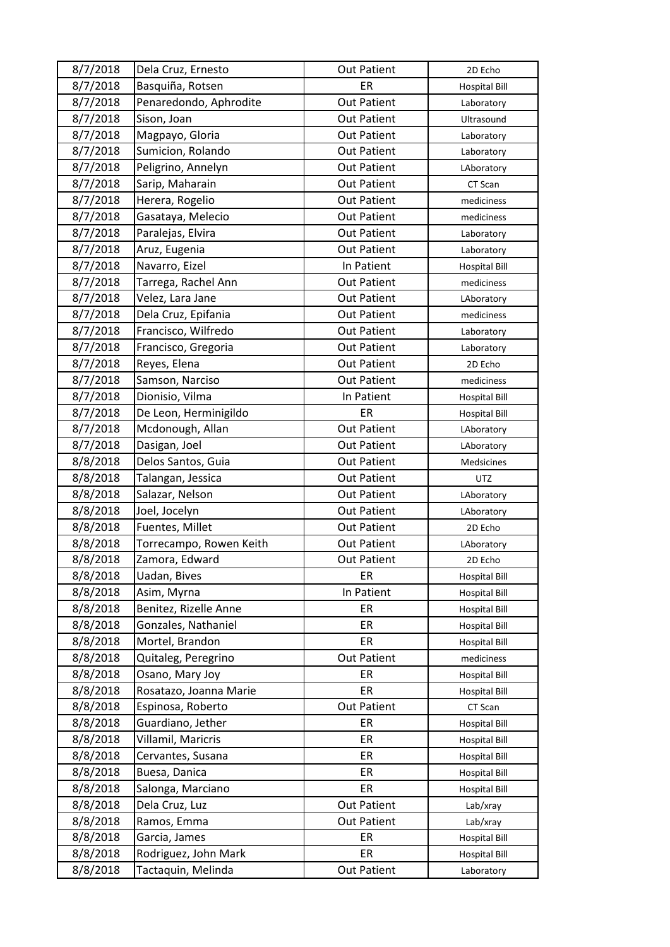| 8/7/2018 | Dela Cruz, Ernesto      | <b>Out Patient</b> | 2D Echo              |
|----------|-------------------------|--------------------|----------------------|
| 8/7/2018 | Basquiña, Rotsen        | ER                 | <b>Hospital Bill</b> |
| 8/7/2018 | Penaredondo, Aphrodite  | <b>Out Patient</b> | Laboratory           |
| 8/7/2018 | Sison, Joan             | <b>Out Patient</b> | Ultrasound           |
| 8/7/2018 | Magpayo, Gloria         | <b>Out Patient</b> | Laboratory           |
| 8/7/2018 | Sumicion, Rolando       | <b>Out Patient</b> | Laboratory           |
| 8/7/2018 | Peligrino, Annelyn      | <b>Out Patient</b> | LAboratory           |
| 8/7/2018 | Sarip, Maharain         | <b>Out Patient</b> | CT Scan              |
| 8/7/2018 | Herera, Rogelio         | <b>Out Patient</b> | mediciness           |
| 8/7/2018 | Gasataya, Melecio       | <b>Out Patient</b> | mediciness           |
| 8/7/2018 | Paralejas, Elvira       | <b>Out Patient</b> | Laboratory           |
| 8/7/2018 | Aruz, Eugenia           | <b>Out Patient</b> | Laboratory           |
| 8/7/2018 | Navarro, Eizel          | In Patient         | <b>Hospital Bill</b> |
| 8/7/2018 | Tarrega, Rachel Ann     | <b>Out Patient</b> | mediciness           |
| 8/7/2018 | Velez, Lara Jane        | <b>Out Patient</b> | LAboratory           |
| 8/7/2018 | Dela Cruz, Epifania     | <b>Out Patient</b> | mediciness           |
| 8/7/2018 | Francisco, Wilfredo     | <b>Out Patient</b> | Laboratory           |
| 8/7/2018 | Francisco, Gregoria     | <b>Out Patient</b> | Laboratory           |
| 8/7/2018 | Reyes, Elena            | <b>Out Patient</b> | 2D Echo              |
| 8/7/2018 | Samson, Narciso         | <b>Out Patient</b> | mediciness           |
| 8/7/2018 | Dionisio, Vilma         | In Patient         | <b>Hospital Bill</b> |
| 8/7/2018 | De Leon, Herminigildo   | ER                 | <b>Hospital Bill</b> |
| 8/7/2018 | Mcdonough, Allan        | <b>Out Patient</b> | LAboratory           |
| 8/7/2018 | Dasigan, Joel           | <b>Out Patient</b> | LAboratory           |
| 8/8/2018 | Delos Santos, Guia      | <b>Out Patient</b> | Medsicines           |
| 8/8/2018 | Talangan, Jessica       | <b>Out Patient</b> | <b>UTZ</b>           |
| 8/8/2018 | Salazar, Nelson         | <b>Out Patient</b> | LAboratory           |
| 8/8/2018 | Joel, Jocelyn           | <b>Out Patient</b> | LAboratory           |
| 8/8/2018 | Fuentes, Millet         | <b>Out Patient</b> | 2D Echo              |
| 8/8/2018 | Torrecampo, Rowen Keith | <b>Out Patient</b> | LAboratory           |
| 8/8/2018 | Zamora, Edward          | <b>Out Patient</b> | 2D Echo              |
| 8/8/2018 | Uadan, Bives            | ER                 | <b>Hospital Bill</b> |
| 8/8/2018 | Asim, Myrna             | In Patient         | <b>Hospital Bill</b> |
| 8/8/2018 | Benitez, Rizelle Anne   | ER                 | <b>Hospital Bill</b> |
| 8/8/2018 | Gonzales, Nathaniel     | ER                 | <b>Hospital Bill</b> |
| 8/8/2018 | Mortel, Brandon         | ER                 | <b>Hospital Bill</b> |
| 8/8/2018 | Quitaleg, Peregrino     | <b>Out Patient</b> | mediciness           |
| 8/8/2018 | Osano, Mary Joy         | ER                 | <b>Hospital Bill</b> |
| 8/8/2018 | Rosatazo, Joanna Marie  | ER                 | <b>Hospital Bill</b> |
| 8/8/2018 | Espinosa, Roberto       | <b>Out Patient</b> | CT Scan              |
| 8/8/2018 | Guardiano, Jether       | ER                 | <b>Hospital Bill</b> |
| 8/8/2018 | Villamil, Maricris      | ER                 | <b>Hospital Bill</b> |
| 8/8/2018 | Cervantes, Susana       | ER                 | <b>Hospital Bill</b> |
| 8/8/2018 | Buesa, Danica           | ER                 | <b>Hospital Bill</b> |
| 8/8/2018 | Salonga, Marciano       | ER                 | <b>Hospital Bill</b> |
| 8/8/2018 | Dela Cruz, Luz          | <b>Out Patient</b> | Lab/xray             |
| 8/8/2018 | Ramos, Emma             | <b>Out Patient</b> | Lab/xray             |
| 8/8/2018 | Garcia, James           | ER                 | <b>Hospital Bill</b> |
| 8/8/2018 | Rodriguez, John Mark    | ER                 | <b>Hospital Bill</b> |
| 8/8/2018 | Tactaquin, Melinda      | <b>Out Patient</b> | Laboratory           |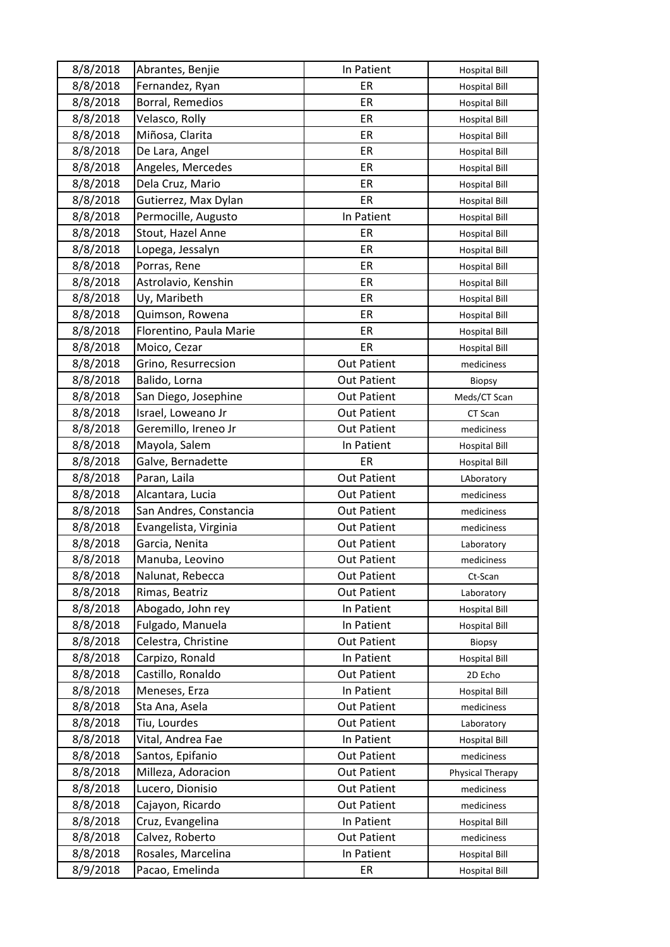| 8/8/2018 | Abrantes, Benjie        | In Patient         | <b>Hospital Bill</b> |
|----------|-------------------------|--------------------|----------------------|
| 8/8/2018 | Fernandez, Ryan         | ER                 | <b>Hospital Bill</b> |
| 8/8/2018 | Borral, Remedios        | ER                 | <b>Hospital Bill</b> |
| 8/8/2018 | Velasco, Rolly          | ER                 | <b>Hospital Bill</b> |
| 8/8/2018 | Miñosa, Clarita         | ER                 | <b>Hospital Bill</b> |
| 8/8/2018 | De Lara, Angel          | ER                 | <b>Hospital Bill</b> |
| 8/8/2018 | Angeles, Mercedes       | ER                 | <b>Hospital Bill</b> |
| 8/8/2018 | Dela Cruz, Mario        | ER                 | <b>Hospital Bill</b> |
| 8/8/2018 | Gutierrez, Max Dylan    | ER                 | <b>Hospital Bill</b> |
| 8/8/2018 | Permocille, Augusto     | In Patient         | <b>Hospital Bill</b> |
| 8/8/2018 | Stout, Hazel Anne       | ER                 | <b>Hospital Bill</b> |
| 8/8/2018 | Lopega, Jessalyn        | ER                 | <b>Hospital Bill</b> |
| 8/8/2018 | Porras, Rene            | ER                 | <b>Hospital Bill</b> |
| 8/8/2018 | Astrolavio, Kenshin     | ER                 | <b>Hospital Bill</b> |
| 8/8/2018 | Uy, Maribeth            | ER                 | <b>Hospital Bill</b> |
| 8/8/2018 | Quimson, Rowena         | ER                 | <b>Hospital Bill</b> |
| 8/8/2018 | Florentino, Paula Marie | ER                 | <b>Hospital Bill</b> |
| 8/8/2018 | Moico, Cezar            | ER                 | <b>Hospital Bill</b> |
| 8/8/2018 | Grino, Resurrecsion     | <b>Out Patient</b> | mediciness           |
| 8/8/2018 | Balido, Lorna           | <b>Out Patient</b> | Biopsy               |
| 8/8/2018 | San Diego, Josephine    | <b>Out Patient</b> | Meds/CT Scan         |
| 8/8/2018 | Israel, Loweano Jr      | <b>Out Patient</b> | CT Scan              |
| 8/8/2018 | Geremillo, Ireneo Jr    | <b>Out Patient</b> | mediciness           |
| 8/8/2018 | Mayola, Salem           | In Patient         | <b>Hospital Bill</b> |
| 8/8/2018 | Galve, Bernadette       | ER                 | <b>Hospital Bill</b> |
| 8/8/2018 | Paran, Laila            | <b>Out Patient</b> | LAboratory           |
| 8/8/2018 | Alcantara, Lucia        | <b>Out Patient</b> | mediciness           |
| 8/8/2018 | San Andres, Constancia  | <b>Out Patient</b> | mediciness           |
| 8/8/2018 | Evangelista, Virginia   | <b>Out Patient</b> | mediciness           |
| 8/8/2018 | Garcia, Nenita          | <b>Out Patient</b> | Laboratory           |
| 8/8/2018 | Manuba, Leovino         | <b>Out Patient</b> | mediciness           |
| 8/8/2018 | Nalunat, Rebecca        | <b>Out Patient</b> | Ct-Scan              |
| 8/8/2018 | Rimas, Beatriz          | <b>Out Patient</b> | Laboratory           |
| 8/8/2018 | Abogado, John rey       | In Patient         | <b>Hospital Bill</b> |
| 8/8/2018 | Fulgado, Manuela        | In Patient         | <b>Hospital Bill</b> |
| 8/8/2018 | Celestra, Christine     | <b>Out Patient</b> | <b>Biopsy</b>        |
| 8/8/2018 | Carpizo, Ronald         | In Patient         | <b>Hospital Bill</b> |
| 8/8/2018 | Castillo, Ronaldo       | <b>Out Patient</b> | 2D Echo              |
| 8/8/2018 | Meneses, Erza           | In Patient         | <b>Hospital Bill</b> |
| 8/8/2018 | Sta Ana, Asela          | <b>Out Patient</b> | mediciness           |
| 8/8/2018 | Tiu, Lourdes            | <b>Out Patient</b> | Laboratory           |
| 8/8/2018 | Vital, Andrea Fae       | In Patient         | <b>Hospital Bill</b> |
| 8/8/2018 | Santos, Epifanio        | <b>Out Patient</b> | mediciness           |
| 8/8/2018 | Milleza, Adoracion      | <b>Out Patient</b> | Physical Therapy     |
| 8/8/2018 | Lucero, Dionisio        | <b>Out Patient</b> | mediciness           |
| 8/8/2018 | Cajayon, Ricardo        | <b>Out Patient</b> | mediciness           |
| 8/8/2018 | Cruz, Evangelina        | In Patient         | <b>Hospital Bill</b> |
| 8/8/2018 | Calvez, Roberto         | <b>Out Patient</b> | mediciness           |
| 8/8/2018 | Rosales, Marcelina      | In Patient         | <b>Hospital Bill</b> |
| 8/9/2018 | Pacao, Emelinda         | ER                 | <b>Hospital Bill</b> |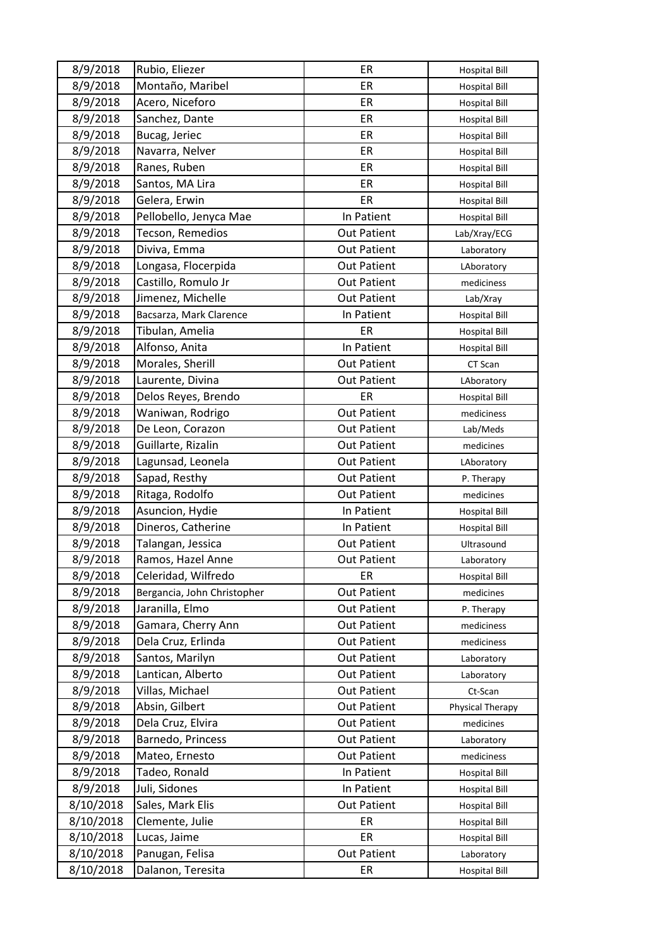| 8/9/2018  | Rubio, Eliezer              | ER                 | <b>Hospital Bill</b> |
|-----------|-----------------------------|--------------------|----------------------|
| 8/9/2018  | Montaño, Maribel            | ER                 | <b>Hospital Bill</b> |
| 8/9/2018  | Acero, Niceforo             | ER                 | <b>Hospital Bill</b> |
| 8/9/2018  | Sanchez, Dante              | ER                 | <b>Hospital Bill</b> |
| 8/9/2018  | Bucag, Jeriec               | ER                 | <b>Hospital Bill</b> |
| 8/9/2018  | Navarra, Nelver             | ER                 | <b>Hospital Bill</b> |
| 8/9/2018  | Ranes, Ruben                | ER                 | <b>Hospital Bill</b> |
| 8/9/2018  | Santos, MA Lira             | ER                 | <b>Hospital Bill</b> |
| 8/9/2018  | Gelera, Erwin               | ER                 | <b>Hospital Bill</b> |
| 8/9/2018  | Pellobello, Jenyca Mae      | In Patient         | <b>Hospital Bill</b> |
| 8/9/2018  | Tecson, Remedios            | <b>Out Patient</b> | Lab/Xray/ECG         |
| 8/9/2018  | Diviva, Emma                | <b>Out Patient</b> | Laboratory           |
| 8/9/2018  | Longasa, Flocerpida         | <b>Out Patient</b> | LAboratory           |
| 8/9/2018  | Castillo, Romulo Jr         | <b>Out Patient</b> | mediciness           |
| 8/9/2018  | Jimenez, Michelle           | <b>Out Patient</b> | Lab/Xray             |
| 8/9/2018  | Bacsarza, Mark Clarence     | In Patient         | <b>Hospital Bill</b> |
| 8/9/2018  | Tibulan, Amelia             | ER                 | <b>Hospital Bill</b> |
| 8/9/2018  | Alfonso, Anita              | In Patient         | <b>Hospital Bill</b> |
| 8/9/2018  | Morales, Sherill            | <b>Out Patient</b> | CT Scan              |
| 8/9/2018  | Laurente, Divina            | <b>Out Patient</b> | LAboratory           |
| 8/9/2018  | Delos Reyes, Brendo         | ER                 | <b>Hospital Bill</b> |
| 8/9/2018  | Waniwan, Rodrigo            | <b>Out Patient</b> | mediciness           |
| 8/9/2018  | De Leon, Corazon            | <b>Out Patient</b> | Lab/Meds             |
| 8/9/2018  | Guillarte, Rizalin          | <b>Out Patient</b> | medicines            |
| 8/9/2018  | Lagunsad, Leonela           | <b>Out Patient</b> | LAboratory           |
| 8/9/2018  | Sapad, Resthy               | <b>Out Patient</b> | P. Therapy           |
| 8/9/2018  | Ritaga, Rodolfo             | <b>Out Patient</b> | medicines            |
| 8/9/2018  | Asuncion, Hydie             | In Patient         | <b>Hospital Bill</b> |
| 8/9/2018  | Dineros, Catherine          | In Patient         | <b>Hospital Bill</b> |
| 8/9/2018  | Talangan, Jessica           | <b>Out Patient</b> | Ultrasound           |
| 8/9/2018  | Ramos, Hazel Anne           | <b>Out Patient</b> | Laboratory           |
| 8/9/2018  | Celeridad, Wilfredo         | ER                 | <b>Hospital Bill</b> |
| 8/9/2018  | Bergancia, John Christopher | <b>Out Patient</b> | medicines            |
| 8/9/2018  | Jaranilla, Elmo             | <b>Out Patient</b> | P. Therapy           |
| 8/9/2018  | Gamara, Cherry Ann          | <b>Out Patient</b> | mediciness           |
| 8/9/2018  | Dela Cruz, Erlinda          | <b>Out Patient</b> | mediciness           |
| 8/9/2018  | Santos, Marilyn             | <b>Out Patient</b> | Laboratory           |
| 8/9/2018  | Lantican, Alberto           | <b>Out Patient</b> | Laboratory           |
| 8/9/2018  | Villas, Michael             | <b>Out Patient</b> | Ct-Scan              |
| 8/9/2018  | Absin, Gilbert              | <b>Out Patient</b> | Physical Therapy     |
| 8/9/2018  | Dela Cruz, Elvira           | <b>Out Patient</b> | medicines            |
| 8/9/2018  | Barnedo, Princess           | <b>Out Patient</b> | Laboratory           |
| 8/9/2018  | Mateo, Ernesto              | <b>Out Patient</b> | mediciness           |
| 8/9/2018  | Tadeo, Ronald               | In Patient         | <b>Hospital Bill</b> |
| 8/9/2018  | Juli, Sidones               | In Patient         | <b>Hospital Bill</b> |
| 8/10/2018 | Sales, Mark Elis            | <b>Out Patient</b> | <b>Hospital Bill</b> |
| 8/10/2018 | Clemente, Julie             | ER                 | <b>Hospital Bill</b> |
| 8/10/2018 | Lucas, Jaime                | ER                 | <b>Hospital Bill</b> |
| 8/10/2018 | Panugan, Felisa             | <b>Out Patient</b> | Laboratory           |
| 8/10/2018 | Dalanon, Teresita           | ER                 | <b>Hospital Bill</b> |